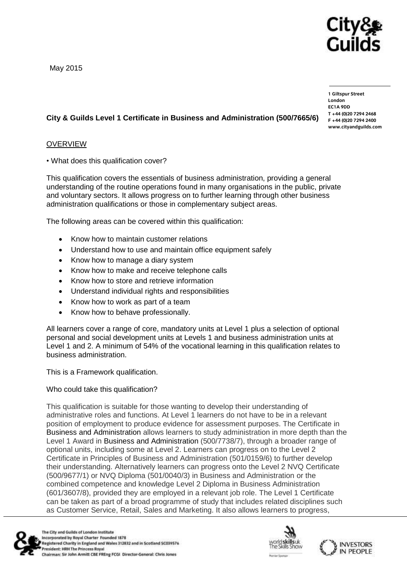Cityč Guilds

May 2015

**1 Giltspur Street EC1A 9DD**  $T + 44 (0)20 7294 2468$ **T +44 (0)20 7294 246[8](http://www.cityandguilds.com/)**  $www.cityandguilds.com$ 

**[www.cityandguilds.com](http://www.cityandguilds.com/)**

# **City & Guilds Level 1 Certificate in Business and Administration (500/7665/6)**

# OVERVIEW

• What does this qualification cover?

This qualification covers the essentials of business administration, providing a general understanding of the routine operations found in many organisations in the public, private and voluntary sectors. It allows progress on to further learning through other business administration qualifications or those in complementary subject areas.

The following areas can be covered within this qualification:

- Know how to maintain customer relations
- Understand how to use and maintain office equipment safely
- Know how to manage a diary system
- Know how to make and receive telephone calls
- Know how to store and retrieve information
- Understand individual rights and responsibilities
- Know how to work as part of a team
- Know how to behave professionally.

All learners cover a range of core, mandatory units at Level 1 plus a selection of optional personal and social development units at Levels 1 and business administration units at Level 1 and 2. A minimum of 54% of the vocational learning in this qualification relates to business administration.

This is a Framework qualification.

### Who could take this qualification?

This qualification is suitable for those wanting to develop their understanding of administrative roles and functions. At Level 1 learners do not have to be in a relevant position of employment to produce evidence for assessment purposes. The Certificate in Business and Administration allows learners to study administration in more depth than the Level 1 Award in Business and Administration (500/7738/7), through a broader range of optional units, including some at Level 2. Learners can progress on to the Level 2 Certificate in Principles of Business and Administration (501/0159/6) to further develop their understanding. Alternatively learners can progress onto the Level 2 NVQ Certificate (500/9677/1) or NVQ Diploma (501/0040/3) in Business and Administration or the combined competence and knowledge Level 2 Diploma in Business Administration (601/3607/8), provided they are employed in a relevant job role. The Level 1 Certificate can be taken as part of a broad programme of study that includes related disciplines such as Customer Service, Retail, Sales and Marketing. It also allows learners to progress,